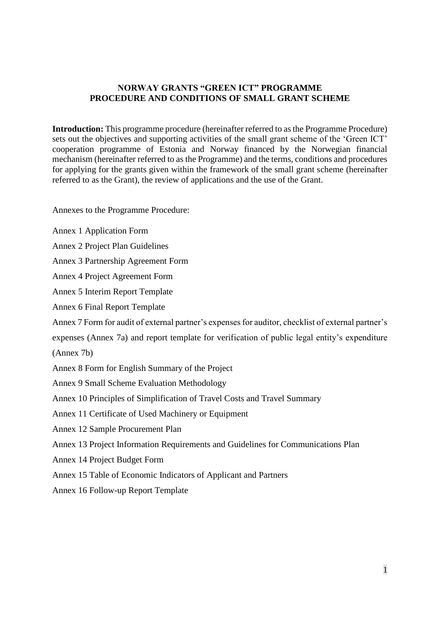### **NORWAY GRANTS "GREEN ICT" PROGRAMME PROCEDURE AND CONDITIONS OF SMALL GRANT SCHEME**

**Introduction:** This programme procedure (hereinafter referred to as the Programme Procedure) sets out the objectives and supporting activities of the small grant scheme of the 'Green ICT' cooperation programme of Estonia and Norway financed by the Norwegian financial mechanism (hereinafter referred to as the Programme) and the terms, conditions and procedures for applying for the grants given within the framework of the small grant scheme (hereinafter referred to as the Grant), the review of applications and the use of the Grant.

Annexes to the Programme Procedure:

- Annex 1 Application Form
- Annex 2 Project Plan Guidelines
- Annex 3 Partnership Agreement Form
- Annex 4 Project Agreement Form
- Annex 5 Interim Report Template
- Annex 6 Final Report Template
- Annex 7 Form for audit of external partner's expenses for auditor, checklist of external partner's
- expenses (Annex 7a) and report template for verification of public legal entity's expenditure

(Annex 7b)

- Annex 8 Form for English Summary of the Project
- Annex 9 Small Scheme Evaluation Methodology
- Annex 10 Principles of Simplification of Travel Costs and Travel Summary
- Annex 11 Certificate of Used Machinery or Equipment
- Annex 12 Sample Procurement Plan
- Annex 13 Project Information Requirements and Guidelines for Communications Plan
- Annex 14 Project Budget Form
- Annex 15 Table of Economic Indicators of Applicant and Partners
- Annex 16 Follow-up Report Template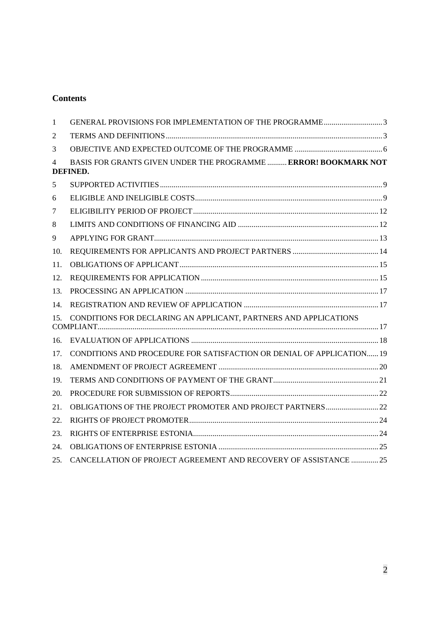# **Contents**

| $\mathbf{1}$ | GENERAL PROVISIONS FOR IMPLEMENTATION OF THE PROGRAMME3                     |  |
|--------------|-----------------------------------------------------------------------------|--|
| 2            |                                                                             |  |
| 3            |                                                                             |  |
| 4            | BASIS FOR GRANTS GIVEN UNDER THE PROGRAMME  ERROR! BOOKMARK NOT<br>DEFINED. |  |
| 5            |                                                                             |  |
| 6            |                                                                             |  |
| 7            |                                                                             |  |
| 8            |                                                                             |  |
| 9            |                                                                             |  |
| 10.          |                                                                             |  |
| 11.          |                                                                             |  |
| 12.          |                                                                             |  |
| 13.          |                                                                             |  |
| 14.          |                                                                             |  |
| 15.          | CONDITIONS FOR DECLARING AN APPLICANT, PARTNERS AND APPLICATIONS            |  |
| 16.          |                                                                             |  |
| 17.          | CONDITIONS AND PROCEDURE FOR SATISFACTION OR DENIAL OF APPLICATION 19       |  |
| 18.          |                                                                             |  |
| 19.          |                                                                             |  |
| 20.          |                                                                             |  |
| 21.          |                                                                             |  |
| 22.          |                                                                             |  |
| 23.          |                                                                             |  |
| 24.          |                                                                             |  |
| 25.          | CANCELLATION OF PROJECT AGREEMENT AND RECOVERY OF ASSISTANCE 25             |  |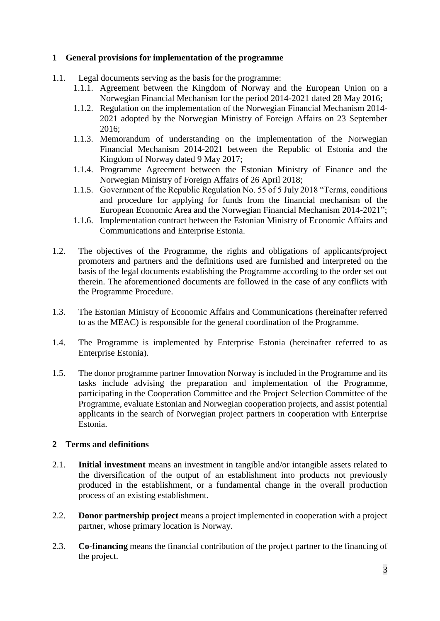# <span id="page-2-0"></span>**1 General provisions for implementation of the programme**

- 1.1. Legal documents serving as the basis for the programme:
	- 1.1.1. Agreement between the Kingdom of Norway and the European Union on a Norwegian Financial Mechanism for the period 2014-2021 dated 28 May 2016;
	- 1.1.2. Regulation on the implementation of the Norwegian Financial Mechanism 2014- 2021 adopted by the Norwegian Ministry of Foreign Affairs on 23 September 2016;
	- 1.1.3. Memorandum of understanding on the implementation of the Norwegian Financial Mechanism 2014-2021 between the Republic of Estonia and the Kingdom of Norway dated 9 May 2017;
	- 1.1.4. Programme Agreement between the Estonian Ministry of Finance and the Norwegian Ministry of Foreign Affairs of 26 April 2018;
	- 1.1.5. Government of the Republic Regulation No. 55 of 5 July 2018 "Terms, conditions and procedure for applying for funds from the financial mechanism of the European Economic Area and the Norwegian Financial Mechanism 2014-2021";
	- 1.1.6. Implementation contract between the Estonian Ministry of Economic Affairs and Communications and Enterprise Estonia.
- 1.2. The objectives of the Programme, the rights and obligations of applicants/project promoters and partners and the definitions used are furnished and interpreted on the basis of the legal documents establishing the Programme according to the order set out therein. The aforementioned documents are followed in the case of any conflicts with the Programme Procedure.
- 1.3. The Estonian Ministry of Economic Affairs and Communications (hereinafter referred to as the MEAC) is responsible for the general coordination of the Programme.
- 1.4. The Programme is implemented by Enterprise Estonia (hereinafter referred to as Enterprise Estonia).
- 1.5. The donor programme partner Innovation Norway is included in the Programme and its tasks include advising the preparation and implementation of the Programme, participating in the Cooperation Committee and the Project Selection Committee of the Programme, evaluate Estonian and Norwegian cooperation projects, and assist potential applicants in the search of Norwegian project partners in cooperation with Enterprise Estonia.

### <span id="page-2-1"></span>**2 Terms and definitions**

- 2.1. **Initial investment** means an investment in tangible and/or intangible assets related to the diversification of the output of an establishment into products not previously produced in the establishment, or a fundamental change in the overall production process of an existing establishment.
- 2.2. **Donor partnership project** means a project implemented in cooperation with a project partner, whose primary location is Norway.
- 2.3. **Co-financing** means the financial contribution of the project partner to the financing of the project.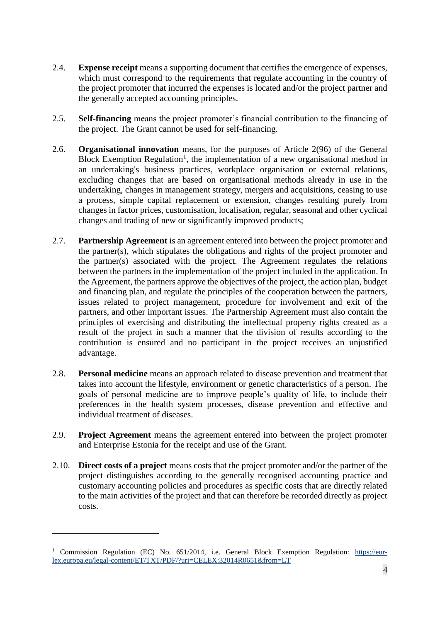- 2.4. **Expense receipt** means a supporting document that certifies the emergence of expenses, which must correspond to the requirements that regulate accounting in the country of the project promoter that incurred the expenses is located and/or the project partner and the generally accepted accounting principles.
- 2.5. **Self-financing** means the project promoter's financial contribution to the financing of the project. The Grant cannot be used for self-financing.
- 2.6. **Organisational innovation** means, for the purposes of Article 2(96) of the General Block Exemption Regulation<sup>1</sup>, the implementation of a new organisational method in an undertaking's business practices, workplace organisation or external relations, excluding changes that are based on organisational methods already in use in the undertaking, changes in management strategy, mergers and acquisitions, ceasing to use a process, simple capital replacement or extension, changes resulting purely from changes in factor prices, customisation, localisation, regular, seasonal and other cyclical changes and trading of new or significantly improved products;
- 2.7. **Partnership Agreement** is an agreement entered into between the project promoter and the partner(s), which stipulates the obligations and rights of the project promoter and the partner(s) associated with the project. The Agreement regulates the relations between the partners in the implementation of the project included in the application. In the Agreement, the partners approve the objectives of the project, the action plan, budget and financing plan, and regulate the principles of the cooperation between the partners, issues related to project management, procedure for involvement and exit of the partners, and other important issues. The Partnership Agreement must also contain the principles of exercising and distributing the intellectual property rights created as a result of the project in such a manner that the division of results according to the contribution is ensured and no participant in the project receives an unjustified advantage.
- 2.8. **Personal medicine** means an approach related to disease prevention and treatment that takes into account the lifestyle, environment or genetic characteristics of a person. The goals of personal medicine are to improve people's quality of life, to include their preferences in the health system processes, disease prevention and effective and individual treatment of diseases.
- 2.9. **Project Agreement** means the agreement entered into between the project promoter and Enterprise Estonia for the receipt and use of the Grant.
- 2.10. **Direct costs of a project** means costs that the project promoter and/or the partner of the project distinguishes according to the generally recognised accounting practice and customary accounting policies and procedures as specific costs that are directly related to the main activities of the project and that can therefore be recorded directly as project costs.

1

<sup>&</sup>lt;sup>1</sup> Commission Regulation (EC) No. 651/2014, i.e. General Block Exemption Regulation: [https://eur](https://eur-lex.europa.eu/legal-content/ET/TXT/PDF/?uri=CELEX:32014R0651&amp;from=LT)[lex.europa.eu/legal-content/ET/TXT/PDF/?uri=CELEX:32014R0651&from=LT](https://eur-lex.europa.eu/legal-content/ET/TXT/PDF/?uri=CELEX:32014R0651&amp;from=LT)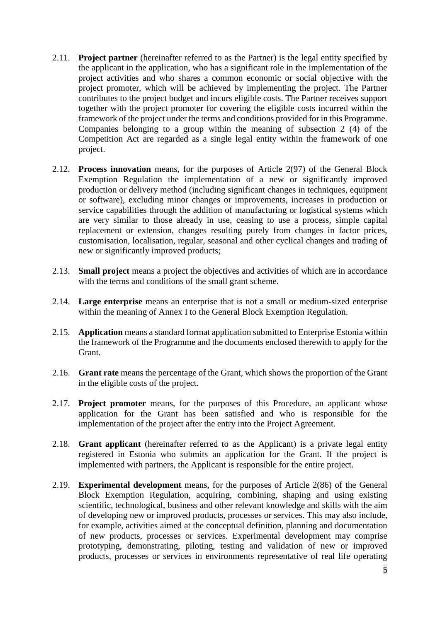- 2.11. **Project partner** (hereinafter referred to as the Partner) is the legal entity specified by the applicant in the application, who has a significant role in the implementation of the project activities and who shares a common economic or social objective with the project promoter, which will be achieved by implementing the project. The Partner contributes to the project budget and incurs eligible costs. The Partner receives support together with the project promoter for covering the eligible costs incurred within the framework of the project under the terms and conditions provided for in this Programme. Companies belonging to a group within the meaning of subsection 2 (4) of the Competition Act are regarded as a single legal entity within the framework of one project.
- 2.12. **Process innovation** means, for the purposes of Article 2(97) of the General Block Exemption Regulation the implementation of a new or significantly improved production or delivery method (including significant changes in techniques, equipment or software), excluding minor changes or improvements, increases in production or service capabilities through the addition of manufacturing or logistical systems which are very similar to those already in use, ceasing to use a process, simple capital replacement or extension, changes resulting purely from changes in factor prices, customisation, localisation, regular, seasonal and other cyclical changes and trading of new or significantly improved products;
- 2.13. **Small project** means a project the objectives and activities of which are in accordance with the terms and conditions of the small grant scheme.
- 2.14. **Large enterprise** means an enterprise that is not a small or medium-sized enterprise within the meaning of Annex I to the General Block Exemption Regulation.
- 2.15. **Application** means a standard format application submitted to Enterprise Estonia within the framework of the Programme and the documents enclosed therewith to apply for the Grant.
- 2.16. **Grant rate** means the percentage of the Grant, which shows the proportion of the Grant in the eligible costs of the project.
- 2.17. **Project promoter** means, for the purposes of this Procedure, an applicant whose application for the Grant has been satisfied and who is responsible for the implementation of the project after the entry into the Project Agreement.
- 2.18. **Grant applicant** (hereinafter referred to as the Applicant) is a private legal entity registered in Estonia who submits an application for the Grant. If the project is implemented with partners, the Applicant is responsible for the entire project.
- 2.19. **Experimental development** means, for the purposes of Article 2(86) of the General Block Exemption Regulation, acquiring, combining, shaping and using existing scientific, technological, business and other relevant knowledge and skills with the aim of developing new or improved products, processes or services. This may also include, for example, activities aimed at the conceptual definition, planning and documentation of new products, processes or services. Experimental development may comprise prototyping, demonstrating, piloting, testing and validation of new or improved products, processes or services in environments representative of real life operating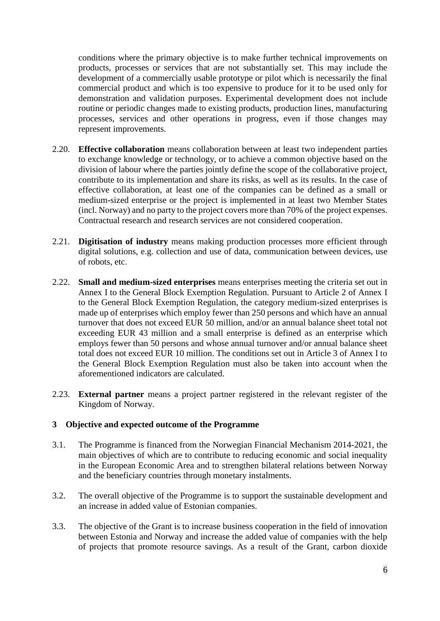conditions where the primary objective is to make further technical improvements on products, processes or services that are not substantially set. This may include the development of a commercially usable prototype or pilot which is necessarily the final commercial product and which is too expensive to produce for it to be used only for demonstration and validation purposes. Experimental development does not include routine or periodic changes made to existing products, production lines, manufacturing processes, services and other operations in progress, even if those changes may represent improvements.

- 2.20. **Effective collaboration** means collaboration between at least two independent parties to exchange knowledge or technology, or to achieve a common objective based on the division of labour where the parties jointly define the scope of the collaborative project, contribute to its implementation and share its risks, as well as its results. In the case of effective collaboration, at least one of the companies can be defined as a small or medium-sized enterprise or the project is implemented in at least two Member States (incl. Norway) and no party to the project covers more than 70% of the project expenses. Contractual research and research services are not considered cooperation.
- 2.21. **Digitisation of industry** means making production processes more efficient through digital solutions, e.g. collection and use of data, communication between devices, use of robots, etc.
- 2.22. **Small and medium-sized enterprises** means enterprises meeting the criteria set out in Annex I to the General Block Exemption Regulation. Pursuant to Article 2 of Annex I to the General Block Exemption Regulation, the category medium-sized enterprises is made up of enterprises which employ fewer than 250 persons and which have an annual turnover that does not exceed EUR 50 million, and/or an annual balance sheet total not exceeding EUR 43 million and a small enterprise is defined as an enterprise which employs fewer than 50 persons and whose annual turnover and/or annual balance sheet total does not exceed EUR 10 million. The conditions set out in Article 3 of Annex I to the General Block Exemption Regulation must also be taken into account when the aforementioned indicators are calculated.
- 2.23. **External partner** means a project partner registered in the relevant register of the Kingdom of Norway.

# <span id="page-5-0"></span>**3 Objective and expected outcome of the Programme**

- 3.1. The Programme is financed from the Norwegian Financial Mechanism 2014-2021, the main objectives of which are to contribute to reducing economic and social inequality in the European Economic Area and to strengthen bilateral relations between Norway and the beneficiary countries through monetary instalments.
- 3.2. The overall objective of the Programme is to support the sustainable development and an increase in added value of Estonian companies.
- 3.3. The objective of the Grant is to increase business cooperation in the field of innovation between Estonia and Norway and increase the added value of companies with the help of projects that promote resource savings. As a result of the Grant, carbon dioxide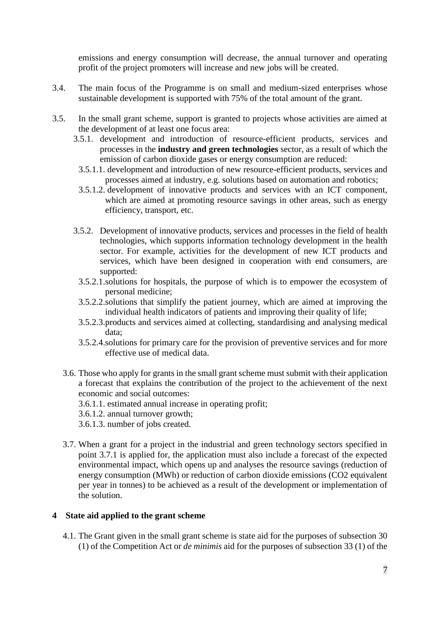emissions and energy consumption will decrease, the annual turnover and operating profit of the project promoters will increase and new jobs will be created.

- 3.4. The main focus of the Programme is on small and medium-sized enterprises whose sustainable development is supported with 75% of the total amount of the grant.
- 3.5. In the small grant scheme, support is granted to projects whose activities are aimed at the development of at least one focus area:
	- 3.5.1. development and introduction of resource-efficient products, services and processes in the **industry and green technologies** sector, as a result of which the emission of carbon dioxide gases or energy consumption are reduced:
	- 3.5.1.1. development and introduction of new resource-efficient products, services and processes aimed at industry, e.g. solutions based on automation and robotics;
	- 3.5.1.2. development of innovative products and services with an ICT component, which are aimed at promoting resource savings in other areas, such as energy efficiency, transport, etc.
	- 3.5.2. Development of innovative products, services and processes in the field of health technologies, which supports information technology development in the health sector. For example, activities for the development of new ICT products and services, which have been designed in cooperation with end consumers, are supported:
		- 3.5.2.1.solutions for hospitals, the purpose of which is to empower the ecosystem of personal medicine;
		- 3.5.2.2.solutions that simplify the patient journey, which are aimed at improving the individual health indicators of patients and improving their quality of life;
		- 3.5.2.3.products and services aimed at collecting, standardising and analysing medical data;
		- 3.5.2.4.solutions for primary care for the provision of preventive services and for more effective use of medical data.
	- 3.6. Those who apply for grants in the small grant scheme must submit with their application a forecast that explains the contribution of the project to the achievement of the next economic and social outcomes:
		- 3.6.1.1. estimated annual increase in operating profit;
		- 3.6.1.2. annual turnover growth;
		- 3.6.1.3. number of jobs created.
	- 3.7. When a grant for a project in the industrial and green technology sectors specified in point 3.7.1 is applied for, the application must also include a forecast of the expected environmental impact, which opens up and analyses the resource savings (reduction of energy consumption (MWh) or reduction of carbon dioxide emissions (CO2 equivalent per year in tonnes) to be achieved as a result of the development or implementation of the solution.

### **4 State aid applied to the grant scheme**

4.1. The Grant given in the small grant scheme is state aid for the purposes of subsection 30 (1) of the Competition Act or *de minimis* aid for the purposes of subsection 33 (1) of the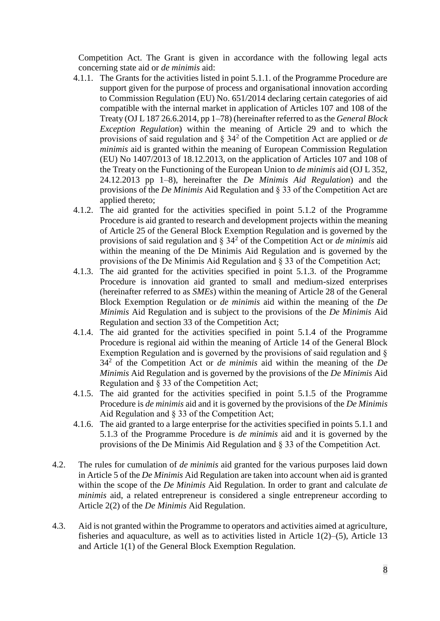Competition Act. The Grant is given in accordance with the following legal acts concerning state aid or *de minimis* aid:

- 4.1.1. The Grants for the activities listed in point 5.1.1. of the Programme Procedure are support given for the purpose of process and organisational innovation according to Commission Regulation (EU) No. 651/2014 declaring certain categories of aid compatible with the internal market in application of Articles 107 and 108 of the Treaty (OJ L 187 26.6.2014, pp 1–78) (hereinafter referred to as the *General Block Exception Regulation*) within the meaning of Article 29 and to which the provisions of said regulation and § 34<sup>2</sup> of the Competition Act are applied or *de minimis* aid is granted within the meaning of European Commission Regulation (EU) No 1407/2013 of 18.12.2013, on the application of Articles 107 and 108 of the Treaty on the Functioning of the European Union to *de minimis* aid (OJ L 352, 24.12.2013 pp 1–8), hereinafter the *De Minimis Aid Regulation*) and the provisions of the *De Minimis* Aid Regulation and § 33 of the Competition Act are applied thereto;
- 4.1.2. The aid granted for the activities specified in point 5.1.2 of the Programme Procedure is aid granted to research and development projects within the meaning of Article 25 of the General Block Exemption Regulation and is governed by the provisions of said regulation and § 34<sup>2</sup> of the Competition Act or *de minimis* aid within the meaning of the De Minimis Aid Regulation and is governed by the provisions of the De Minimis Aid Regulation and § 33 of the Competition Act;
- 4.1.3. The aid granted for the activities specified in point 5.1.3. of the Programme Procedure is innovation aid granted to small and medium-sized enterprises (hereinafter referred to as *SMEs*) within the meaning of Article 28 of the General Block Exemption Regulation or *de minimis* aid within the meaning of the *De Minimis* Aid Regulation and is subject to the provisions of the *De Minimis* Aid Regulation and section 33 of the Competition Act;
- 4.1.4. The aid granted for the activities specified in point 5.1.4 of the Programme Procedure is regional aid within the meaning of Article 14 of the General Block Exemption Regulation and is governed by the provisions of said regulation and § 34<sup>2</sup> of the Competition Act or *de minimis* aid within the meaning of the *De Minimis* Aid Regulation and is governed by the provisions of the *De Minimis* Aid Regulation and § 33 of the Competition Act;
- 4.1.5. The aid granted for the activities specified in point 5.1.5 of the Programme Procedure is *de minimis* aid and it is governed by the provisions of the *De Minimis* Aid Regulation and § 33 of the Competition Act;
- 4.1.6. The aid granted to a large enterprise for the activities specified in points 5.1.1 and 5.1.3 of the Programme Procedure is *de minimis* aid and it is governed by the provisions of the De Minimis Aid Regulation and § 33 of the Competition Act.
- 4.2. The rules for cumulation of *de minimis* aid granted for the various purposes laid down in Article 5 of the *De Minimis* Aid Regulation are taken into account when aid is granted within the scope of the *De Minimis* Aid Regulation. In order to grant and calculate *de minimis* aid, a related entrepreneur is considered a single entrepreneur according to Article 2(2) of the *De Minimis* Aid Regulation.
- 4.3. Aid is not granted within the Programme to operators and activities aimed at agriculture, fisheries and aquaculture, as well as to activities listed in Article 1(2)–(5), Article 13 and Article 1(1) of the General Block Exemption Regulation.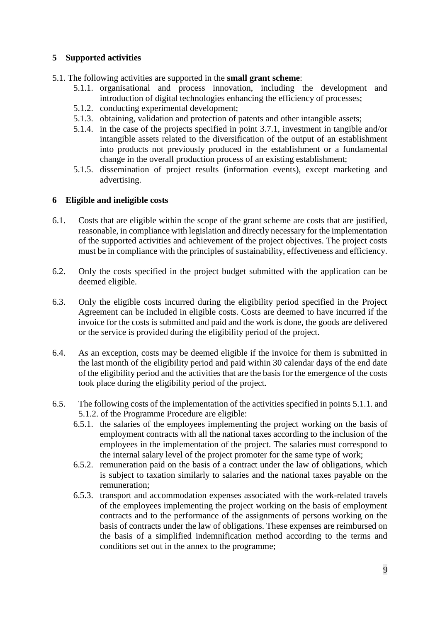# <span id="page-8-0"></span>**5 Supported activities**

- 5.1. The following activities are supported in the **small grant scheme**:
	- 5.1.1. organisational and process innovation, including the development and introduction of digital technologies enhancing the efficiency of processes;
	- 5.1.2. conducting experimental development;
	- 5.1.3. obtaining, validation and protection of patents and other intangible assets;
	- 5.1.4. in the case of the projects specified in point 3.7.1, investment in tangible and/or intangible assets related to the diversification of the output of an establishment into products not previously produced in the establishment or a fundamental change in the overall production process of an existing establishment;
	- 5.1.5. dissemination of project results (information events), except marketing and advertising.

# <span id="page-8-1"></span>**6 Eligible and ineligible costs**

- 6.1. Costs that are eligible within the scope of the grant scheme are costs that are justified, reasonable, in compliance with legislation and directly necessary for the implementation of the supported activities and achievement of the project objectives. The project costs must be in compliance with the principles of sustainability, effectiveness and efficiency.
- 6.2. Only the costs specified in the project budget submitted with the application can be deemed eligible.
- 6.3. Only the eligible costs incurred during the eligibility period specified in the Project Agreement can be included in eligible costs. Costs are deemed to have incurred if the invoice for the costs is submitted and paid and the work is done, the goods are delivered or the service is provided during the eligibility period of the project.
- 6.4. As an exception, costs may be deemed eligible if the invoice for them is submitted in the last month of the eligibility period and paid within 30 calendar days of the end date of the eligibility period and the activities that are the basis for the emergence of the costs took place during the eligibility period of the project.
- 6.5. The following costs of the implementation of the activities specified in points 5.1.1. and 5.1.2. of the Programme Procedure are eligible:
	- 6.5.1. the salaries of the employees implementing the project working on the basis of employment contracts with all the national taxes according to the inclusion of the employees in the implementation of the project. The salaries must correspond to the internal salary level of the project promoter for the same type of work;
	- 6.5.2. remuneration paid on the basis of a contract under the law of obligations, which is subject to taxation similarly to salaries and the national taxes payable on the remuneration;
	- 6.5.3. transport and accommodation expenses associated with the work-related travels of the employees implementing the project working on the basis of employment contracts and to the performance of the assignments of persons working on the basis of contracts under the law of obligations. These expenses are reimbursed on the basis of a simplified indemnification method according to the terms and conditions set out in the annex to the programme;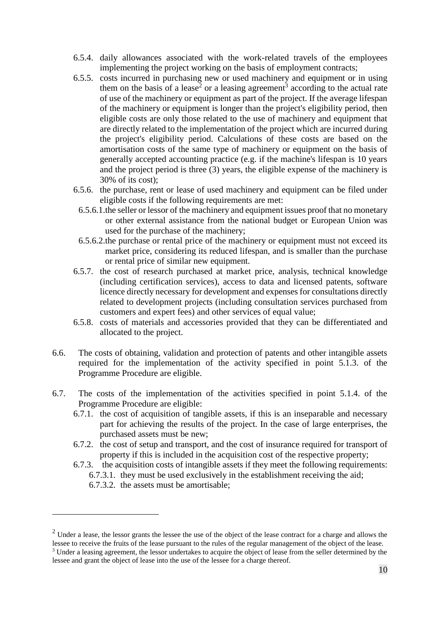- 6.5.4. daily allowances associated with the work-related travels of the employees implementing the project working on the basis of employment contracts;
- 6.5.5. costs incurred in purchasing new or used machinery and equipment or in using them on the basis of a lease<sup>2</sup> or a leasing agreement<sup>3</sup> according to the actual rate of use of the machinery or equipment as part of the project. If the average lifespan of the machinery or equipment is longer than the project's eligibility period, then eligible costs are only those related to the use of machinery and equipment that are directly related to the implementation of the project which are incurred during the project's eligibility period. Calculations of these costs are based on the amortisation costs of the same type of machinery or equipment on the basis of generally accepted accounting practice (e.g. if the machine's lifespan is 10 years and the project period is three (3) years, the eligible expense of the machinery is 30% of its cost);
- 6.5.6. the purchase, rent or lease of used machinery and equipment can be filed under eligible costs if the following requirements are met:
	- 6.5.6.1.the seller or lessor of the machinery and equipment issues proof that no monetary or other external assistance from the national budget or European Union was used for the purchase of the machinery;
	- 6.5.6.2.the purchase or rental price of the machinery or equipment must not exceed its market price, considering its reduced lifespan, and is smaller than the purchase or rental price of similar new equipment.
- 6.5.7. the cost of research purchased at market price, analysis, technical knowledge (including certification services), access to data and licensed patents, software licence directly necessary for development and expenses for consultations directly related to development projects (including consultation services purchased from customers and expert fees) and other services of equal value;
- 6.5.8. costs of materials and accessories provided that they can be differentiated and allocated to the project.
- 6.6. The costs of obtaining, validation and protection of patents and other intangible assets required for the implementation of the activity specified in point 5.1.3. of the Programme Procedure are eligible.
- 6.7. The costs of the implementation of the activities specified in point 5.1.4. of the Programme Procedure are eligible:
	- 6.7.1. the cost of acquisition of tangible assets, if this is an inseparable and necessary part for achieving the results of the project. In the case of large enterprises, the purchased assets must be new;
	- 6.7.2. the cost of setup and transport, and the cost of insurance required for transport of property if this is included in the acquisition cost of the respective property;
	- 6.7.3. the acquisition costs of intangible assets if they meet the following requirements: 6.7.3.1. they must be used exclusively in the establishment receiving the aid;
		- 6.7.3.2. the assets must be amortisable;

1

 $2$  Under a lease, the lessor grants the lessee the use of the object of the lease contract for a charge and allows the lessee to receive the fruits of the lease pursuant to the rules of the regular management of the object of the lease. <sup>3</sup> Under a leasing agreement, the lessor undertakes to acquire the object of lease from the seller determined by the lessee and grant the object of lease into the use of the lessee for a charge thereof.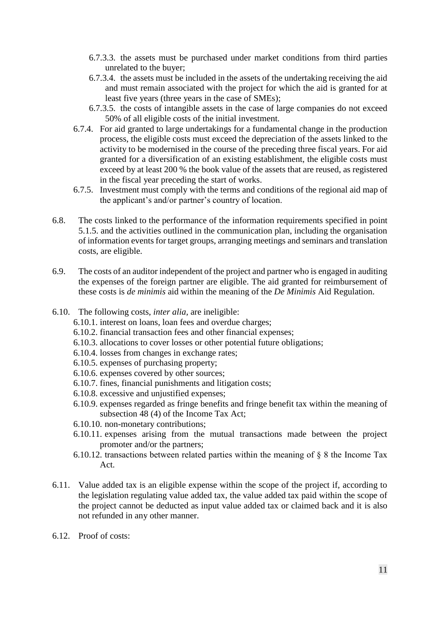- 6.7.3.3. the assets must be purchased under market conditions from third parties unrelated to the buyer;
- 6.7.3.4. the assets must be included in the assets of the undertaking receiving the aid and must remain associated with the project for which the aid is granted for at least five years (three years in the case of SMEs);
- 6.7.3.5. the costs of intangible assets in the case of large companies do not exceed 50% of all eligible costs of the initial investment.
- 6.7.4. For aid granted to large undertakings for a fundamental change in the production process, the eligible costs must exceed the depreciation of the assets linked to the activity to be modernised in the course of the preceding three fiscal years. For aid granted for a diversification of an existing establishment, the eligible costs must exceed by at least 200 % the book value of the assets that are reused, as registered in the fiscal year preceding the start of works.
- 6.7.5. Investment must comply with the terms and conditions of the regional aid map of the applicant's and/or partner's country of location.
- 6.8. The costs linked to the performance of the information requirements specified in point 5.1.5. and the activities outlined in the communication plan, including the organisation of information events for target groups, arranging meetings and seminars and translation costs, are eligible.
- 6.9. The costs of an auditor independent of the project and partner who is engaged in auditing the expenses of the foreign partner are eligible. The aid granted for reimbursement of these costs is *de minimis* aid within the meaning of the *De Minimis* Aid Regulation.
- 6.10. The following costs, *inter alia,* are ineligible:
	- 6.10.1. interest on loans, loan fees and overdue charges;
	- 6.10.2. financial transaction fees and other financial expenses;
	- 6.10.3. allocations to cover losses or other potential future obligations;
	- 6.10.4. losses from changes in exchange rates;
	- 6.10.5. expenses of purchasing property;
	- 6.10.6. expenses covered by other sources;
	- 6.10.7. fines, financial punishments and litigation costs;
	- 6.10.8. excessive and unjustified expenses;
	- 6.10.9. expenses regarded as fringe benefits and fringe benefit tax within the meaning of subsection 48 (4) of the Income Tax Act;
	- 6.10.10. non-monetary contributions;
	- 6.10.11. expenses arising from the mutual transactions made between the project promoter and/or the partners;
	- 6.10.12. transactions between related parties within the meaning of  $\S$  8 the Income Tax Act.
- 6.11. Value added tax is an eligible expense within the scope of the project if, according to the legislation regulating value added tax, the value added tax paid within the scope of the project cannot be deducted as input value added tax or claimed back and it is also not refunded in any other manner.
- 6.12. Proof of costs: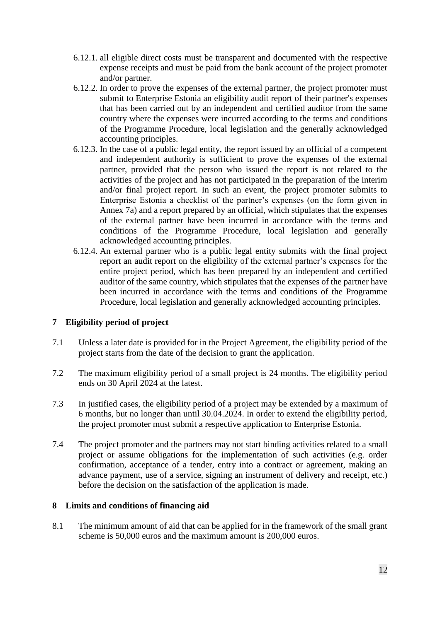- 6.12.1. all eligible direct costs must be transparent and documented with the respective expense receipts and must be paid from the bank account of the project promoter and/or partner.
- 6.12.2. In order to prove the expenses of the external partner, the project promoter must submit to Enterprise Estonia an eligibility audit report of their partner's expenses that has been carried out by an independent and certified auditor from the same country where the expenses were incurred according to the terms and conditions of the Programme Procedure, local legislation and the generally acknowledged accounting principles.
- 6.12.3. In the case of a public legal entity, the report issued by an official of a competent and independent authority is sufficient to prove the expenses of the external partner, provided that the person who issued the report is not related to the activities of the project and has not participated in the preparation of the interim and/or final project report. In such an event, the project promoter submits to Enterprise Estonia a checklist of the partner's expenses (on the form given in Annex 7a) and a report prepared by an official, which stipulates that the expenses of the external partner have been incurred in accordance with the terms and conditions of the Programme Procedure, local legislation and generally acknowledged accounting principles.
- 6.12.4. An external partner who is a public legal entity submits with the final project report an audit report on the eligibility of the external partner's expenses for the entire project period, which has been prepared by an independent and certified auditor of the same country, which stipulates that the expenses of the partner have been incurred in accordance with the terms and conditions of the Programme Procedure, local legislation and generally acknowledged accounting principles.

# <span id="page-11-0"></span>**7 Eligibility period of project**

- 7.1 Unless a later date is provided for in the Project Agreement, the eligibility period of the project starts from the date of the decision to grant the application.
- 7.2 The maximum eligibility period of a small project is 24 months. The eligibility period ends on 30 April 2024 at the latest.
- 7.3 In justified cases, the eligibility period of a project may be extended by a maximum of 6 months, but no longer than until 30.04.2024. In order to extend the eligibility period, the project promoter must submit a respective application to Enterprise Estonia.
- 7.4 The project promoter and the partners may not start binding activities related to a small project or assume obligations for the implementation of such activities (e.g. order confirmation, acceptance of a tender, entry into a contract or agreement, making an advance payment, use of a service, signing an instrument of delivery and receipt, etc.) before the decision on the satisfaction of the application is made.

# <span id="page-11-1"></span>**8 Limits and conditions of financing aid**

8.1 The minimum amount of aid that can be applied for in the framework of the small grant scheme is 50,000 euros and the maximum amount is 200,000 euros.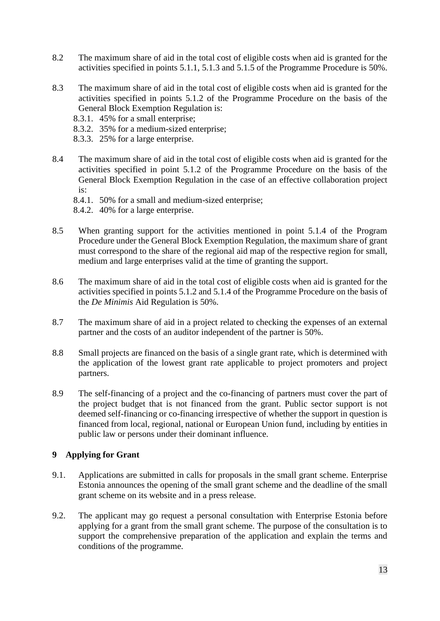- 8.2 The maximum share of aid in the total cost of eligible costs when aid is granted for the activities specified in points 5.1.1, 5.1.3 and 5.1.5 of the Programme Procedure is 50%.
- 8.3 The maximum share of aid in the total cost of eligible costs when aid is granted for the activities specified in points 5.1.2 of the Programme Procedure on the basis of the General Block Exemption Regulation is:
	- 8.3.1. 45% for a small enterprise;
	- 8.3.2. 35% for a medium-sized enterprise;
	- 8.3.3. 25% for a large enterprise.
- 8.4 The maximum share of aid in the total cost of eligible costs when aid is granted for the activities specified in point 5.1.2 of the Programme Procedure on the basis of the General Block Exemption Regulation in the case of an effective collaboration project is:
	- 8.4.1. 50% for a small and medium-sized enterprise;
	- 8.4.2. 40% for a large enterprise.
- 8.5 When granting support for the activities mentioned in point 5.1.4 of the Program Procedure under the General Block Exemption Regulation, the maximum share of grant must correspond to the share of the regional aid map of the respective region for small, medium and large enterprises valid at the time of granting the support.
- 8.6 The maximum share of aid in the total cost of eligible costs when aid is granted for the activities specified in points 5.1.2 and 5.1.4 of the Programme Procedure on the basis of the *De Minimis* Aid Regulation is 50%.
- 8.7 The maximum share of aid in a project related to checking the expenses of an external partner and the costs of an auditor independent of the partner is 50%.
- 8.8 Small projects are financed on the basis of a single grant rate, which is determined with the application of the lowest grant rate applicable to project promoters and project partners.
- 8.9 The self-financing of a project and the co-financing of partners must cover the part of the project budget that is not financed from the grant. Public sector support is not deemed self-financing or co-financing irrespective of whether the support in question is financed from local, regional, national or European Union fund, including by entities in public law or persons under their dominant influence.

# <span id="page-12-0"></span>**9 Applying for Grant**

- 9.1. Applications are submitted in calls for proposals in the small grant scheme. Enterprise Estonia announces the opening of the small grant scheme and the deadline of the small grant scheme on its website and in a press release.
- 9.2. The applicant may go request a personal consultation with Enterprise Estonia before applying for a grant from the small grant scheme. The purpose of the consultation is to support the comprehensive preparation of the application and explain the terms and conditions of the programme.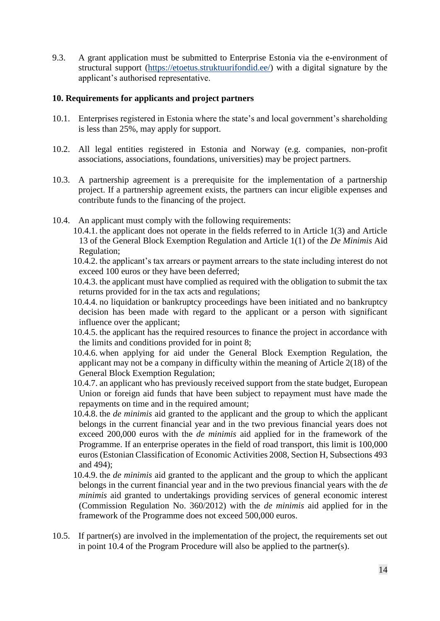9.3. A grant application must be submitted to Enterprise Estonia via the e-environment of structural support [\(https://etoetus.struktuurifondid.ee/\)](https://etoetus.struktuurifondid.ee/) with a digital signature by the applicant's authorised representative.

### <span id="page-13-0"></span>**10. Requirements for applicants and project partners**

- 10.1. Enterprises registered in Estonia where the state's and local government's shareholding is less than 25%, may apply for support.
- 10.2. All legal entities registered in Estonia and Norway (e.g. companies, non-profit associations, associations, foundations, universities) may be project partners.
- 10.3. A partnership agreement is a prerequisite for the implementation of a partnership project. If a partnership agreement exists, the partners can incur eligible expenses and contribute funds to the financing of the project.
- 10.4. An applicant must comply with the following requirements:
	- 10.4.1. the applicant does not operate in the fields referred to in Article 1(3) and Article 13 of the General Block Exemption Regulation and Article 1(1) of the *De Minimis* Aid Regulation;
		- 10.4.2. the applicant's tax arrears or payment arrears to the state including interest do not exceed 100 euros or they have been deferred;
		- 10.4.3. the applicant must have complied as required with the obligation to submit the tax returns provided for in the tax acts and regulations;
		- 10.4.4. no liquidation or bankruptcy proceedings have been initiated and no bankruptcy decision has been made with regard to the applicant or a person with significant influence over the applicant;
		- 10.4.5. the applicant has the required resources to finance the project in accordance with the limits and conditions provided for in point 8;
		- 10.4.6. when applying for aid under the General Block Exemption Regulation, the applicant may not be a company in difficulty within the meaning of Article 2(18) of the General Block Exemption Regulation;
		- 10.4.7. an applicant who has previously received support from the state budget, European Union or foreign aid funds that have been subject to repayment must have made the repayments on time and in the required amount;
		- 10.4.8. the *de minimis* aid granted to the applicant and the group to which the applicant belongs in the current financial year and in the two previous financial years does not exceed 200,000 euros with the *de minimis* aid applied for in the framework of the Programme. If an enterprise operates in the field of road transport, this limit is 100,000 euros (Estonian Classification of Economic Activities 2008, Section H, Subsections 493 and 494);
		- 10.4.9. the *de minimis* aid granted to the applicant and the group to which the applicant belongs in the current financial year and in the two previous financial years with the *de minimis* aid granted to undertakings providing services of general economic interest (Commission Regulation No. 360/2012) with the *de minimis* aid applied for in the framework of the Programme does not exceed 500,000 euros.
- 10.5. If partner(s) are involved in the implementation of the project, the requirements set out in point 10.4 of the Program Procedure will also be applied to the partner(s).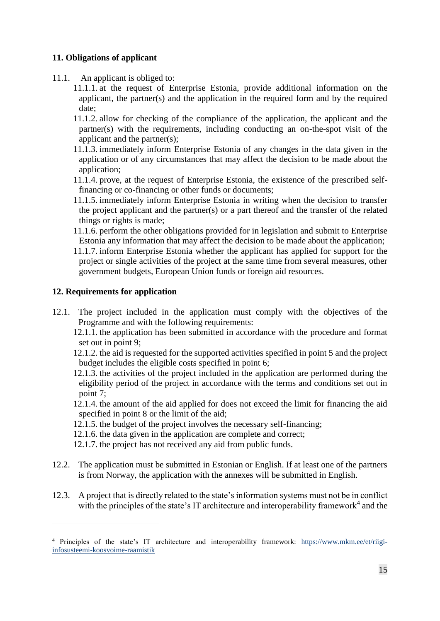# <span id="page-14-0"></span>**11. Obligations of applicant**

- 11.1. An applicant is obliged to:
	- 11.1.1. at the request of Enterprise Estonia, provide additional information on the applicant, the partner(s) and the application in the required form and by the required date;
	- 11.1.2. allow for checking of the compliance of the application, the applicant and the partner(s) with the requirements, including conducting an on-the-spot visit of the applicant and the partner(s);
	- 11.1.3. immediately inform Enterprise Estonia of any changes in the data given in the application or of any circumstances that may affect the decision to be made about the application;
	- 11.1.4. prove, at the request of Enterprise Estonia, the existence of the prescribed selffinancing or co-financing or other funds or documents;
	- 11.1.5. immediately inform Enterprise Estonia in writing when the decision to transfer the project applicant and the partner(s) or a part thereof and the transfer of the related things or rights is made;
	- 11.1.6. perform the other obligations provided for in legislation and submit to Enterprise Estonia any information that may affect the decision to be made about the application;
	- 11.1.7. inform Enterprise Estonia whether the applicant has applied for support for the project or single activities of the project at the same time from several measures, other government budgets, European Union funds or foreign aid resources.

# <span id="page-14-1"></span>**12. Requirements for application**

1

- 12.1. The project included in the application must comply with the objectives of the Programme and with the following requirements:
	- 12.1.1. the application has been submitted in accordance with the procedure and format set out in point 9;
	- 12.1.2. the aid is requested for the supported activities specified in point 5 and the project budget includes the eligible costs specified in point 6;
	- 12.1.3. the activities of the project included in the application are performed during the eligibility period of the project in accordance with the terms and conditions set out in point 7;
	- 12.1.4. the amount of the aid applied for does not exceed the limit for financing the aid specified in point 8 or the limit of the aid;
	- 12.1.5. the budget of the project involves the necessary self-financing;
	- 12.1.6. the data given in the application are complete and correct;
	- 12.1.7. the project has not received any aid from public funds.
- 12.2. The application must be submitted in Estonian or English. If at least one of the partners is from Norway, the application with the annexes will be submitted in English.
- 12.3. A project that is directly related to the state's information systems must not be in conflict with the principles of the state's IT architecture and interoperability framework<sup>4</sup> and the

<sup>4</sup> Principles of the state's IT architecture and interoperability framework: [https://www.mkm.ee/et/riigi](https://www.mkm.ee/et/riigi-infosusteemi-koosvoime-raamistik)[infosusteemi-koosvoime-raamistik](https://www.mkm.ee/et/riigi-infosusteemi-koosvoime-raamistik)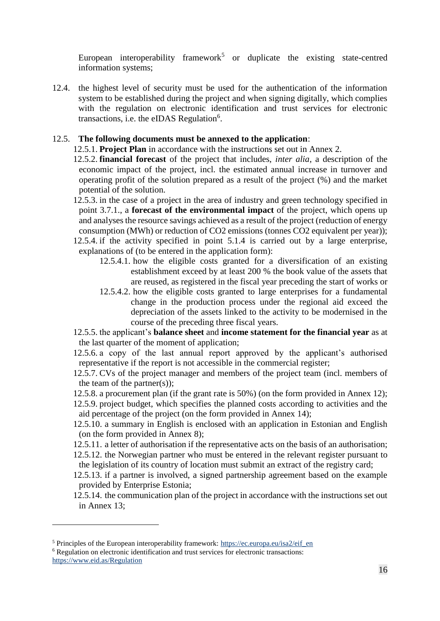European interoperability framework<sup>5</sup> or duplicate the existing state-centred information systems;

12.4. the highest level of security must be used for the authentication of the information system to be established during the project and when signing digitally, which complies with the regulation on electronic identification and trust services for electronic transactions, i.e. the eIDAS Regulation<sup>6</sup>.

# 12.5. **The following documents must be annexed to the application**:

- 12.5.1. **Project Plan** in accordance with the instructions set out in Annex 2.
- 12.5.2. **financial forecast** of the project that includes, *inter alia*, a description of the economic impact of the project, incl. the estimated annual increase in turnover and operating profit of the solution prepared as a result of the project (%) and the market potential of the solution.
- 12.5.3. in the case of a project in the area of industry and green technology specified in point 3.7.1., a **forecast of the environmental impact** of the project, which opens up and analyses the resource savings achieved as a result of the project (reduction of energy consumption (MWh) or reduction of CO2 emissions (tonnes CO2 equivalent per year));
- 12.5.4. if the activity specified in point 5.1.4 is carried out by a large enterprise, explanations of (to be entered in the application form):
	- 12.5.4.1. how the eligible costs granted for a diversification of an existing establishment exceed by at least 200 % the book value of the assets that are reused, as registered in the fiscal year preceding the start of works or
	- 12.5.4.2. how the eligible costs granted to large enterprises for a fundamental change in the production process under the regional aid exceed the depreciation of the assets linked to the activity to be modernised in the course of the preceding three fiscal years.
- 12.5.5. the applicant's **balance sheet** and **income statement for the financial year** as at the last quarter of the moment of application;

12.5.6. a copy of the last annual report approved by the applicant's authorised representative if the report is not accessible in the commercial register;

- 12.5.7. CVs of the project manager and members of the project team (incl. members of the team of the partner $(s)$ );
- 12.5.8. a procurement plan (if the grant rate is 50%) (on the form provided in Annex 12);
- 12.5.9. project budget, which specifies the planned costs according to activities and the aid percentage of the project (on the form provided in Annex 14);
- 12.5.10. a summary in English is enclosed with an application in Estonian and English (on the form provided in Annex 8);
- 12.5.11. a letter of authorisation if the representative acts on the basis of an authorisation;
- 12.5.12. the Norwegian partner who must be entered in the relevant register pursuant to the legislation of its country of location must submit an extract of the registry card;
- 12.5.13. if a partner is involved, a signed partnership agreement based on the example provided by Enterprise Estonia;
- 12.5.14. the communication plan of the project in accordance with the instructions set out in Annex 13;

1

<sup>5</sup> Principles of the European interoperability framework: [https://ec.europa.eu/isa2/eif\\_en](https://ec.europa.eu/isa2/eif_en)

<sup>6</sup> Regulation on electronic identification and trust services for electronic transactions: <https://www.eid.as/Regulation>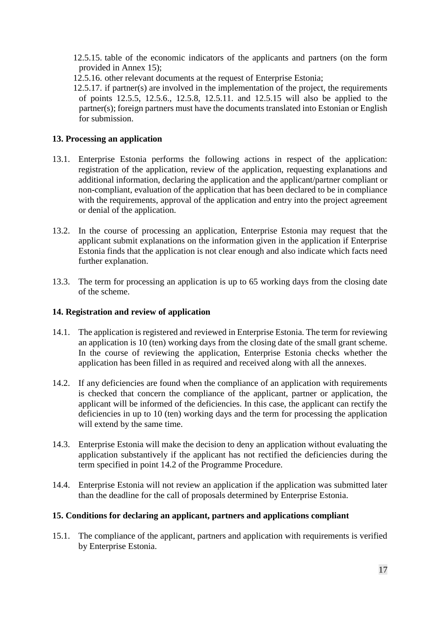- 12.5.15. table of the economic indicators of the applicants and partners (on the form provided in Annex 15);
- 12.5.16. other relevant documents at the request of Enterprise Estonia;
- 12.5.17. if partner(s) are involved in the implementation of the project, the requirements of points 12.5.5, 12.5.6., 12.5.8, 12.5.11. and 12.5.15 will also be applied to the partner(s); foreign partners must have the documents translated into Estonian or English for submission.

# <span id="page-16-0"></span>**13. Processing an application**

- 13.1. Enterprise Estonia performs the following actions in respect of the application: registration of the application, review of the application, requesting explanations and additional information, declaring the application and the applicant/partner compliant or non-compliant, evaluation of the application that has been declared to be in compliance with the requirements, approval of the application and entry into the project agreement or denial of the application.
- 13.2. In the course of processing an application, Enterprise Estonia may request that the applicant submit explanations on the information given in the application if Enterprise Estonia finds that the application is not clear enough and also indicate which facts need further explanation.
- 13.3. The term for processing an application is up to 65 working days from the closing date of the scheme.

# <span id="page-16-1"></span>**14. Registration and review of application**

- 14.1. The application is registered and reviewed in Enterprise Estonia. The term for reviewing an application is 10 (ten) working days from the closing date of the small grant scheme. In the course of reviewing the application, Enterprise Estonia checks whether the application has been filled in as required and received along with all the annexes.
- 14.2. If any deficiencies are found when the compliance of an application with requirements is checked that concern the compliance of the applicant, partner or application, the applicant will be informed of the deficiencies. In this case, the applicant can rectify the deficiencies in up to 10 (ten) working days and the term for processing the application will extend by the same time.
- 14.3. Enterprise Estonia will make the decision to deny an application without evaluating the application substantively if the applicant has not rectified the deficiencies during the term specified in point 14.2 of the Programme Procedure.
- 14.4. Enterprise Estonia will not review an application if the application was submitted later than the deadline for the call of proposals determined by Enterprise Estonia.

# <span id="page-16-2"></span>**15. Conditions for declaring an applicant, partners and applications compliant**

15.1. The compliance of the applicant, partners and application with requirements is verified by Enterprise Estonia.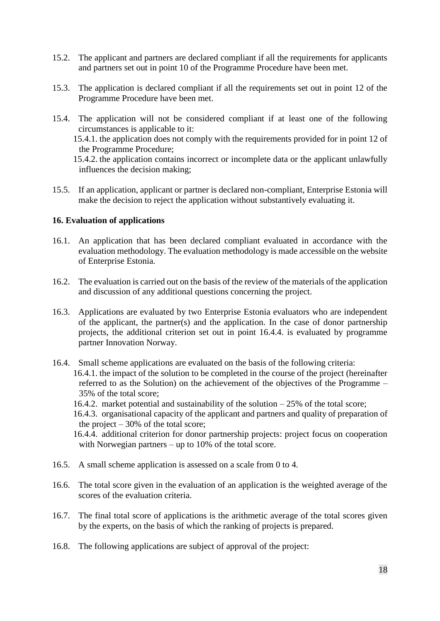- 15.2. The applicant and partners are declared compliant if all the requirements for applicants and partners set out in point 10 of the Programme Procedure have been met.
- 15.3. The application is declared compliant if all the requirements set out in point 12 of the Programme Procedure have been met.
- 15.4. The application will not be considered compliant if at least one of the following circumstances is applicable to it:

15.4.1. the application does not comply with the requirements provided for in point 12 of the Programme Procedure;

15.4.2. the application contains incorrect or incomplete data or the applicant unlawfully influences the decision making;

15.5. If an application, applicant or partner is declared non-compliant, Enterprise Estonia will make the decision to reject the application without substantively evaluating it.

# <span id="page-17-0"></span>**16. Evaluation of applications**

- 16.1. An application that has been declared compliant evaluated in accordance with the evaluation methodology. The evaluation methodology is made accessible on the website of Enterprise Estonia.
- 16.2. The evaluation is carried out on the basis of the review of the materials of the application and discussion of any additional questions concerning the project.
- 16.3. Applications are evaluated by two Enterprise Estonia evaluators who are independent of the applicant, the partner(s) and the application. In the case of donor partnership projects, the additional criterion set out in point 16.4.4. is evaluated by programme partner Innovation Norway.
- 16.4. Small scheme applications are evaluated on the basis of the following criteria: 16.4.1. the impact of the solution to be completed in the course of the project (hereinafter referred to as the Solution) on the achievement of the objectives of the Programme – 35% of the total score;
	- 16.4.2. market potential and sustainability of the solution 25% of the total score;
	- 16.4.3. organisational capacity of the applicant and partners and quality of preparation of the project  $-30\%$  of the total score;
	- 16.4.4. additional criterion for donor partnership projects: project focus on cooperation with Norwegian partners – up to 10% of the total score.
- 16.5. A small scheme application is assessed on a scale from 0 to 4.
- 16.6. The total score given in the evaluation of an application is the weighted average of the scores of the evaluation criteria.
- 16.7. The final total score of applications is the arithmetic average of the total scores given by the experts, on the basis of which the ranking of projects is prepared.
- 16.8. The following applications are subject of approval of the project: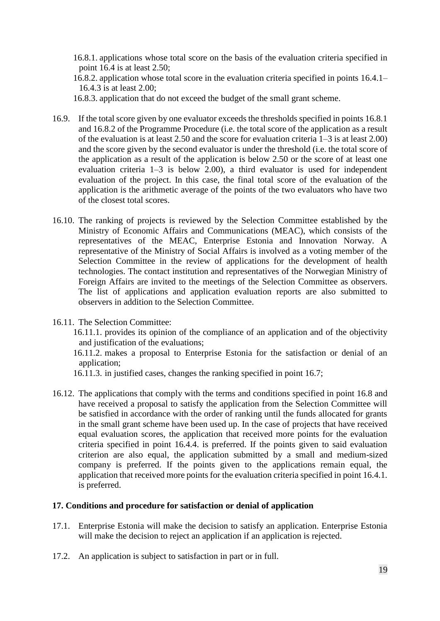- 16.8.1. applications whose total score on the basis of the evaluation criteria specified in point 16.4 is at least 2.50;
- 16.8.2. application whose total score in the evaluation criteria specified in points 16.4.1– 16.4.3 is at least 2.00;
- 16.8.3. application that do not exceed the budget of the small grant scheme.
- 16.9. If the total score given by one evaluator exceeds the thresholds specified in points 16.8.1 and 16.8.2 of the Programme Procedure (i.e. the total score of the application as a result of the evaluation is at least 2.50 and the score for evaluation criteria 1–3 is at least 2.00) and the score given by the second evaluator is under the threshold (i.e. the total score of the application as a result of the application is below 2.50 or the score of at least one evaluation criteria 1–3 is below 2.00), a third evaluator is used for independent evaluation of the project. In this case, the final total score of the evaluation of the application is the arithmetic average of the points of the two evaluators who have two of the closest total scores.
- 16.10. The ranking of projects is reviewed by the Selection Committee established by the Ministry of Economic Affairs and Communications (MEAC), which consists of the representatives of the MEAC, Enterprise Estonia and Innovation Norway. A representative of the Ministry of Social Affairs is involved as a voting member of the Selection Committee in the review of applications for the development of health technologies. The contact institution and representatives of the Norwegian Ministry of Foreign Affairs are invited to the meetings of the Selection Committee as observers. The list of applications and application evaluation reports are also submitted to observers in addition to the Selection Committee.
- 16.11. The Selection Committee:
	- 16.11.1. provides its opinion of the compliance of an application and of the objectivity and justification of the evaluations;
	- 16.11.2. makes a proposal to Enterprise Estonia for the satisfaction or denial of an application;
	- 16.11.3. in justified cases, changes the ranking specified in point 16.7;
- 16.12. The applications that comply with the terms and conditions specified in point 16.8 and have received a proposal to satisfy the application from the Selection Committee will be satisfied in accordance with the order of ranking until the funds allocated for grants in the small grant scheme have been used up. In the case of projects that have received equal evaluation scores, the application that received more points for the evaluation criteria specified in point 16.4.4. is preferred. If the points given to said evaluation criterion are also equal, the application submitted by a small and medium-sized company is preferred. If the points given to the applications remain equal, the application that received more points for the evaluation criteria specified in point 16.4.1. is preferred.

# <span id="page-18-0"></span>**17. Conditions and procedure for satisfaction or denial of application**

- 17.1. Enterprise Estonia will make the decision to satisfy an application. Enterprise Estonia will make the decision to reject an application if an application is rejected.
- 17.2. An application is subject to satisfaction in part or in full.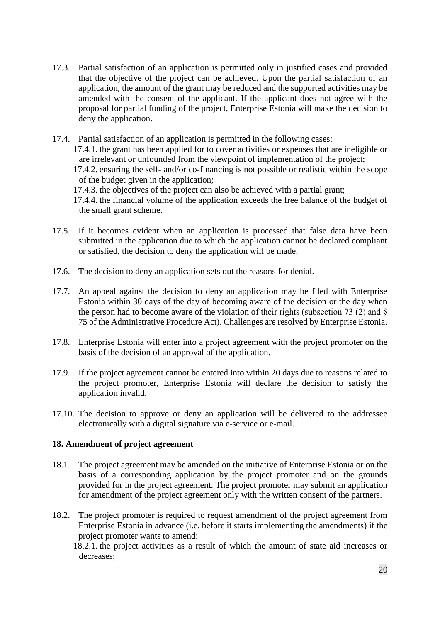17.3. Partial satisfaction of an application is permitted only in justified cases and provided that the objective of the project can be achieved. Upon the partial satisfaction of an application, the amount of the grant may be reduced and the supported activities may be amended with the consent of the applicant. If the applicant does not agree with the proposal for partial funding of the project, Enterprise Estonia will make the decision to deny the application.

17.4. Partial satisfaction of an application is permitted in the following cases: 17.4.1. the grant has been applied for to cover activities or expenses that are ineligible or are irrelevant or unfounded from the viewpoint of implementation of the project; 17.4.2. ensuring the self- and/or co-financing is not possible or realistic within the scope of the budget given in the application; 17.4.3. the objectives of the project can also be achieved with a partial grant; 17.4.4. the financial volume of the application exceeds the free balance of the budget of the small grant scheme.

- 17.5. If it becomes evident when an application is processed that false data have been submitted in the application due to which the application cannot be declared compliant or satisfied, the decision to deny the application will be made.
- 17.6. The decision to deny an application sets out the reasons for denial.
- 17.7. An appeal against the decision to deny an application may be filed with Enterprise Estonia within 30 days of the day of becoming aware of the decision or the day when the person had to become aware of the violation of their rights (subsection 73 (2) and  $\S$ 75 of the Administrative Procedure Act). Challenges are resolved by Enterprise Estonia.
- 17.8. Enterprise Estonia will enter into a project agreement with the project promoter on the basis of the decision of an approval of the application.
- 17.9. If the project agreement cannot be entered into within 20 days due to reasons related to the project promoter, Enterprise Estonia will declare the decision to satisfy the application invalid.
- 17.10. The decision to approve or deny an application will be delivered to the addressee electronically with a digital signature via e-service or e-mail.

# <span id="page-19-0"></span>**18. Amendment of project agreement**

- 18.1. The project agreement may be amended on the initiative of Enterprise Estonia or on the basis of a corresponding application by the project promoter and on the grounds provided for in the project agreement. The project promoter may submit an application for amendment of the project agreement only with the written consent of the partners.
- 18.2. The project promoter is required to request amendment of the project agreement from Enterprise Estonia in advance (i.e. before it starts implementing the amendments) if the project promoter wants to amend:

18.2.1. the project activities as a result of which the amount of state aid increases or decreases;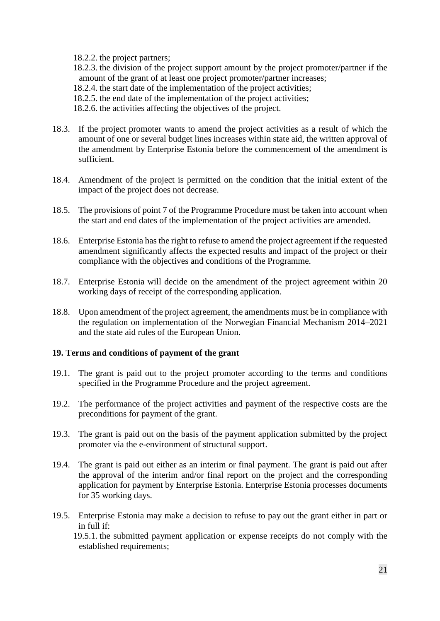18.2.2. the project partners;

18.2.3. the division of the project support amount by the project promoter/partner if the amount of the grant of at least one project promoter/partner increases;

18.2.4. the start date of the implementation of the project activities;

18.2.5. the end date of the implementation of the project activities;

18.2.6. the activities affecting the objectives of the project.

- 18.3. If the project promoter wants to amend the project activities as a result of which the amount of one or several budget lines increases within state aid, the written approval of the amendment by Enterprise Estonia before the commencement of the amendment is sufficient.
- 18.4. Amendment of the project is permitted on the condition that the initial extent of the impact of the project does not decrease.
- 18.5. The provisions of point 7 of the Programme Procedure must be taken into account when the start and end dates of the implementation of the project activities are amended.
- 18.6. Enterprise Estonia has the right to refuse to amend the project agreement if the requested amendment significantly affects the expected results and impact of the project or their compliance with the objectives and conditions of the Programme.
- 18.7. Enterprise Estonia will decide on the amendment of the project agreement within 20 working days of receipt of the corresponding application.
- 18.8. Upon amendment of the project agreement, the amendments must be in compliance with the regulation on implementation of the Norwegian Financial Mechanism 2014–2021 and the state aid rules of the European Union.

### <span id="page-20-0"></span>**19. Terms and conditions of payment of the grant**

- 19.1. The grant is paid out to the project promoter according to the terms and conditions specified in the Programme Procedure and the project agreement.
- 19.2. The performance of the project activities and payment of the respective costs are the preconditions for payment of the grant.
- 19.3. The grant is paid out on the basis of the payment application submitted by the project promoter via the e-environment of structural support.
- 19.4. The grant is paid out either as an interim or final payment. The grant is paid out after the approval of the interim and/or final report on the project and the corresponding application for payment by Enterprise Estonia. Enterprise Estonia processes documents for 35 working days.
- 19.5. Enterprise Estonia may make a decision to refuse to pay out the grant either in part or in full if:

19.5.1. the submitted payment application or expense receipts do not comply with the established requirements;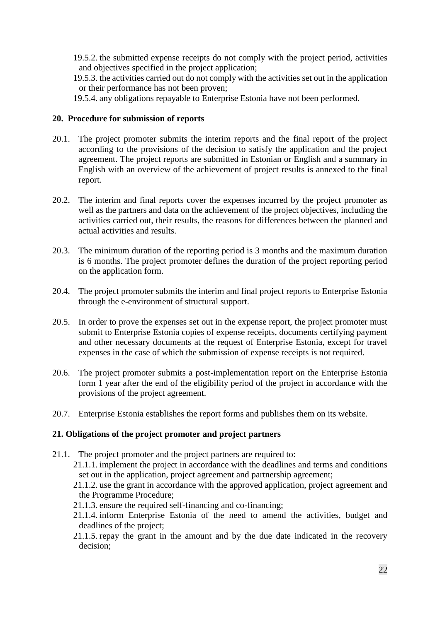- 19.5.2. the submitted expense receipts do not comply with the project period, activities and objectives specified in the project application;
- 19.5.3. the activities carried out do not comply with the activities set out in the application or their performance has not been proven;
- 19.5.4. any obligations repayable to Enterprise Estonia have not been performed.

### <span id="page-21-0"></span>**20. Procedure for submission of reports**

- 20.1. The project promoter submits the interim reports and the final report of the project according to the provisions of the decision to satisfy the application and the project agreement. The project reports are submitted in Estonian or English and a summary in English with an overview of the achievement of project results is annexed to the final report.
- 20.2. The interim and final reports cover the expenses incurred by the project promoter as well as the partners and data on the achievement of the project objectives, including the activities carried out, their results, the reasons for differences between the planned and actual activities and results.
- 20.3. The minimum duration of the reporting period is 3 months and the maximum duration is 6 months. The project promoter defines the duration of the project reporting period on the application form.
- 20.4. The project promoter submits the interim and final project reports to Enterprise Estonia through the e-environment of structural support.
- 20.5. In order to prove the expenses set out in the expense report, the project promoter must submit to Enterprise Estonia copies of expense receipts, documents certifying payment and other necessary documents at the request of Enterprise Estonia, except for travel expenses in the case of which the submission of expense receipts is not required.
- 20.6. The project promoter submits a post-implementation report on the Enterprise Estonia form 1 year after the end of the eligibility period of the project in accordance with the provisions of the project agreement.
- 20.7. Enterprise Estonia establishes the report forms and publishes them on its website.

### <span id="page-21-1"></span>**21. Obligations of the project promoter and project partners**

- 21.1. The project promoter and the project partners are required to:
	- 21.1.1. implement the project in accordance with the deadlines and terms and conditions set out in the application, project agreement and partnership agreement;
	- 21.1.2. use the grant in accordance with the approved application, project agreement and the Programme Procedure;
	- 21.1.3. ensure the required self-financing and co-financing;
	- 21.1.4. inform Enterprise Estonia of the need to amend the activities, budget and deadlines of the project;
	- 21.1.5. repay the grant in the amount and by the due date indicated in the recovery decision;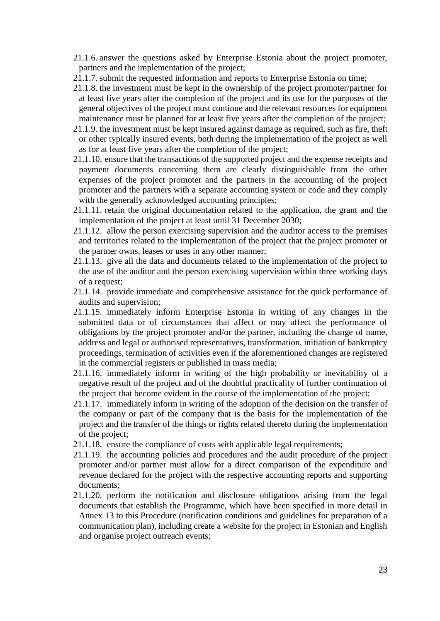- 21.1.6. answer the questions asked by Enterprise Estonia about the project promoter, partners and the implementation of the project;
- 21.1.7. submit the requested information and reports to Enterprise Estonia on time;
- 21.1.8. the investment must be kept in the ownership of the project promoter/partner for at least five years after the completion of the project and its use for the purposes of the general objectives of the project must continue and the relevant resources for equipment maintenance must be planned for at least five years after the completion of the project;
- 21.1.9. the investment must be kept insured against damage as required, such as fire, theft or other typically insured events, both during the implementation of the project as well as for at least five years after the completion of the project;
- 21.1.10. ensure that the transactions of the supported project and the expense receipts and payment documents concerning them are clearly distinguishable from the other expenses of the project promoter and the partners in the accounting of the project promoter and the partners with a separate accounting system or code and they comply with the generally acknowledged accounting principles;
- 21.1.11. retain the original documentation related to the application, the grant and the implementation of the project at least until 31 December 2030;
- 21.1.12. allow the person exercising supervision and the auditor access to the premises and territories related to the implementation of the project that the project promoter or the partner owns, leases or uses in any other manner;
- 21.1.13. give all the data and documents related to the implementation of the project to the use of the auditor and the person exercising supervision within three working days of a request;
- 21.1.14. provide immediate and comprehensive assistance for the quick performance of audits and supervision;
- 21.1.15. immediately inform Enterprise Estonia in writing of any changes in the submitted data or of circumstances that affect or may affect the performance of obligations by the project promoter and/or the partner, including the change of name, address and legal or authorised representatives, transformation, initiation of bankruptcy proceedings, termination of activities even if the aforementioned changes are registered in the commercial registers or published in mass media;
- 21.1.16. immediately inform in writing of the high probability or inevitability of a negative result of the project and of the doubtful practicality of further continuation of the project that become evident in the course of the implementation of the project;
- 21.1.17. immediately inform in writing of the adoption of the decision on the transfer of the company or part of the company that is the basis for the implementation of the project and the transfer of the things or rights related thereto during the implementation of the project;
- 21.1.18. ensure the compliance of costs with applicable legal requirements;
- 21.1.19. the accounting policies and procedures and the audit procedure of the project promoter and/or partner must allow for a direct comparison of the expenditure and revenue declared for the project with the respective accounting reports and supporting documents;
- 21.1.20. perform the notification and disclosure obligations arising from the legal documents that establish the Programme, which have been specified in more detail in Annex 13 to this Procedure (notification conditions and guidelines for preparation of a communication plan), including create a website for the project in Estonian and English and organise project outreach events;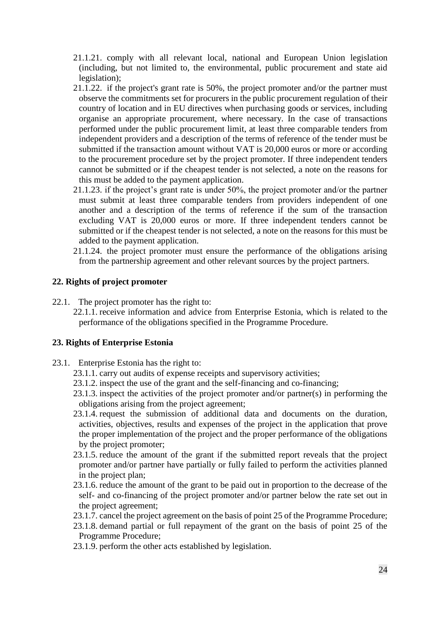- 21.1.21. comply with all relevant local, national and European Union legislation (including, but not limited to, the environmental, public procurement and state aid legislation);
- 21.1.22. if the project's grant rate is 50%, the project promoter and/or the partner must observe the commitments set for procurers in the public procurement regulation of their country of location and in EU directives when purchasing goods or services, including organise an appropriate procurement, where necessary. In the case of transactions performed under the public procurement limit, at least three comparable tenders from independent providers and a description of the terms of reference of the tender must be submitted if the transaction amount without VAT is 20,000 euros or more or according to the procurement procedure set by the project promoter. If three independent tenders cannot be submitted or if the cheapest tender is not selected, a note on the reasons for this must be added to the payment application.
- 21.1.23. if the project's grant rate is under 50%, the project promoter and/or the partner must submit at least three comparable tenders from providers independent of one another and a description of the terms of reference if the sum of the transaction excluding VAT is 20,000 euros or more. If three independent tenders cannot be submitted or if the cheapest tender is not selected, a note on the reasons for this must be added to the payment application.
- 21.1.24. the project promoter must ensure the performance of the obligations arising from the partnership agreement and other relevant sources by the project partners.

### <span id="page-23-0"></span>**22. Rights of project promoter**

- 22.1. The project promoter has the right to:
	- 22.1.1. receive information and advice from Enterprise Estonia, which is related to the performance of the obligations specified in the Programme Procedure.

### <span id="page-23-1"></span>**23. Rights of Enterprise Estonia**

- 23.1. Enterprise Estonia has the right to:
	- 23.1.1. carry out audits of expense receipts and supervisory activities;
	- 23.1.2. inspect the use of the grant and the self-financing and co-financing;
	- 23.1.3. inspect the activities of the project promoter and/or partner(s) in performing the obligations arising from the project agreement;
	- 23.1.4. request the submission of additional data and documents on the duration, activities, objectives, results and expenses of the project in the application that prove the proper implementation of the project and the proper performance of the obligations by the project promoter;
	- 23.1.5. reduce the amount of the grant if the submitted report reveals that the project promoter and/or partner have partially or fully failed to perform the activities planned in the project plan;
	- 23.1.6. reduce the amount of the grant to be paid out in proportion to the decrease of the self- and co-financing of the project promoter and/or partner below the rate set out in the project agreement;
	- 23.1.7. cancel the project agreement on the basis of point 25 of the Programme Procedure;
	- 23.1.8. demand partial or full repayment of the grant on the basis of point 25 of the Programme Procedure;
	- 23.1.9. perform the other acts established by legislation.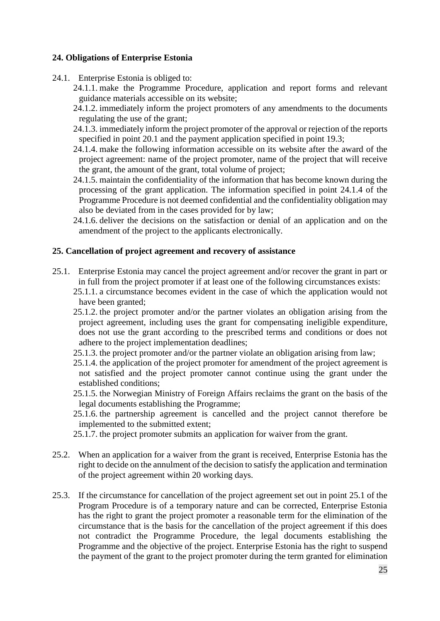# <span id="page-24-0"></span>**24. Obligations of Enterprise Estonia**

- 24.1. Enterprise Estonia is obliged to:
	- 24.1.1. make the Programme Procedure, application and report forms and relevant guidance materials accessible on its website;
	- 24.1.2. immediately inform the project promoters of any amendments to the documents regulating the use of the grant;
	- 24.1.3. immediately inform the project promoter of the approval or rejection of the reports specified in point 20.1 and the payment application specified in point 19.3;
	- 24.1.4. make the following information accessible on its website after the award of the project agreement: name of the project promoter, name of the project that will receive the grant, the amount of the grant, total volume of project;
	- 24.1.5. maintain the confidentiality of the information that has become known during the processing of the grant application. The information specified in point 24.1.4 of the Programme Procedure is not deemed confidential and the confidentiality obligation may also be deviated from in the cases provided for by law;
	- 24.1.6. deliver the decisions on the satisfaction or denial of an application and on the amendment of the project to the applicants electronically.

# <span id="page-24-1"></span>**25. Cancellation of project agreement and recovery of assistance**

- 25.1. Enterprise Estonia may cancel the project agreement and/or recover the grant in part or in full from the project promoter if at least one of the following circumstances exists:
	- 25.1.1. a circumstance becomes evident in the case of which the application would not have been granted;
	- 25.1.2. the project promoter and/or the partner violates an obligation arising from the project agreement, including uses the grant for compensating ineligible expenditure, does not use the grant according to the prescribed terms and conditions or does not adhere to the project implementation deadlines;
	- 25.1.3. the project promoter and/or the partner violate an obligation arising from law;
	- 25.1.4. the application of the project promoter for amendment of the project agreement is not satisfied and the project promoter cannot continue using the grant under the established conditions;
	- 25.1.5. the Norwegian Ministry of Foreign Affairs reclaims the grant on the basis of the legal documents establishing the Programme;
	- 25.1.6. the partnership agreement is cancelled and the project cannot therefore be implemented to the submitted extent;
	- 25.1.7. the project promoter submits an application for waiver from the grant.
- 25.2. When an application for a waiver from the grant is received, Enterprise Estonia has the right to decide on the annulment of the decision to satisfy the application and termination of the project agreement within 20 working days.
- 25.3. If the circumstance for cancellation of the project agreement set out in point 25.1 of the Program Procedure is of a temporary nature and can be corrected, Enterprise Estonia has the right to grant the project promoter a reasonable term for the elimination of the circumstance that is the basis for the cancellation of the project agreement if this does not contradict the Programme Procedure, the legal documents establishing the Programme and the objective of the project. Enterprise Estonia has the right to suspend the payment of the grant to the project promoter during the term granted for elimination